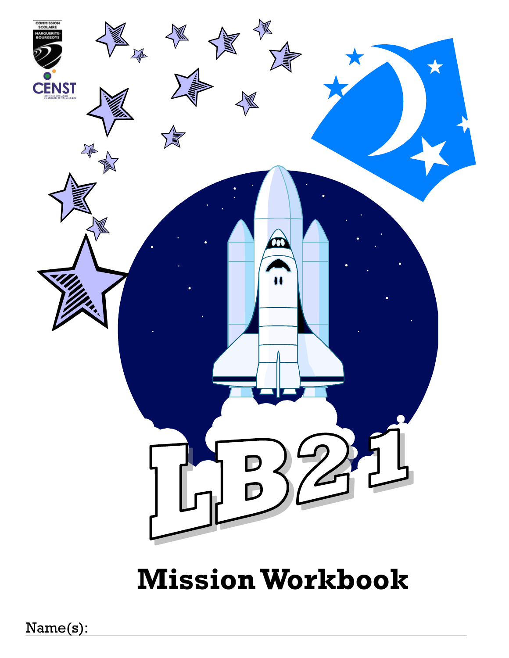

# **Mission Workbook**

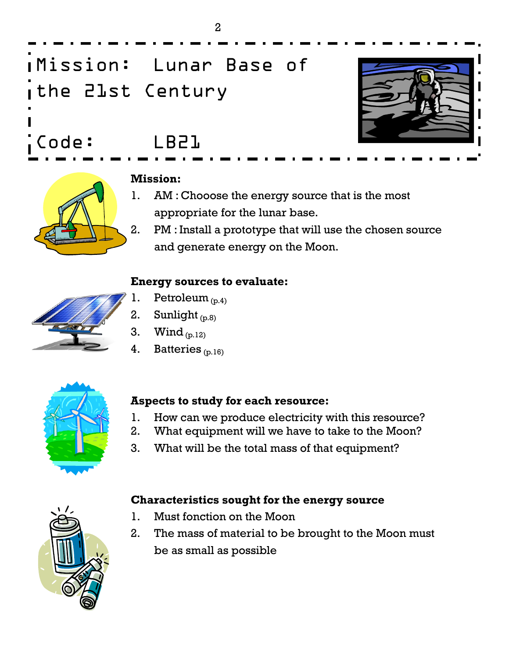

Mission: Lunar Base of the 21st Century

Code: LB21



#### **Mission:**

- 1. AM : Chooose the energy source that is the most appropriate for the lunar base.
- 2. PM : Install a prototype that will use the chosen source and generate energy on the Moon.

#### **Energy sources to evaluate:**



- 1. Petroleum  $_{(p,4)}$
- 2. Sunlight  $_{(p,8)}$
- 3. Wind  $_{(p.12)}$
- 4. Batteries  $(p, 16)$



#### **Aspects to study for each resource:**

- 1. How can we produce electricity with this resource?
- 2. What equipment will we have to take to the Moon?
- 3. What will be the total mass of that equipment?

#### **Characteristics sought for the energy source**

- 1. Must fonction on the Moon
- 2. The mass of material to be brought to the Moon must be as small as possible



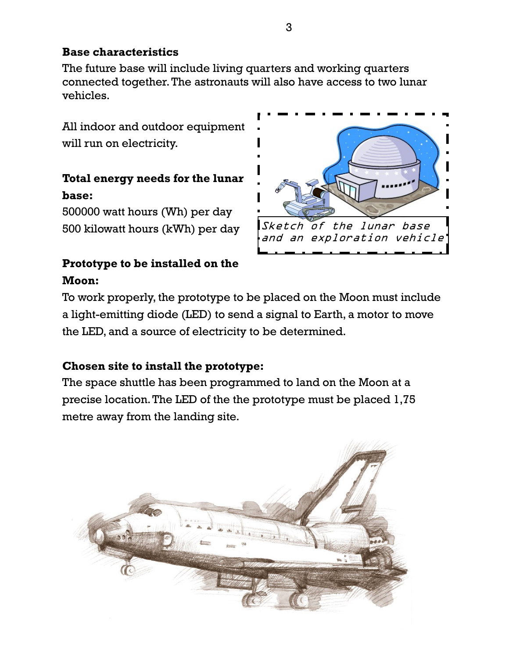#### **Base characteristics**

The future base will include living quarters and working quarters connected together. The astronauts will also have access to two lunar vehicles.

All indoor and outdoor equipment will run on electricity.

### **Total energy needs for the lunar base:**

500000 watt hours (Wh) per day 500 kilowatt hours (kWh) per day

#### **Prototype to be installed on the Moon:**



To work properly, the prototype to be placed on the Moon must include a light-emitting diode (LED) to send a signal to Earth, a motor to move the LED, and a source of electricity to be determined.

#### **Chosen site to install the prototype:**

The space shuttle has been programmed to land on the Moon at a precise location. The LED of the the prototype must be placed 1,75 metre away from the landing site.

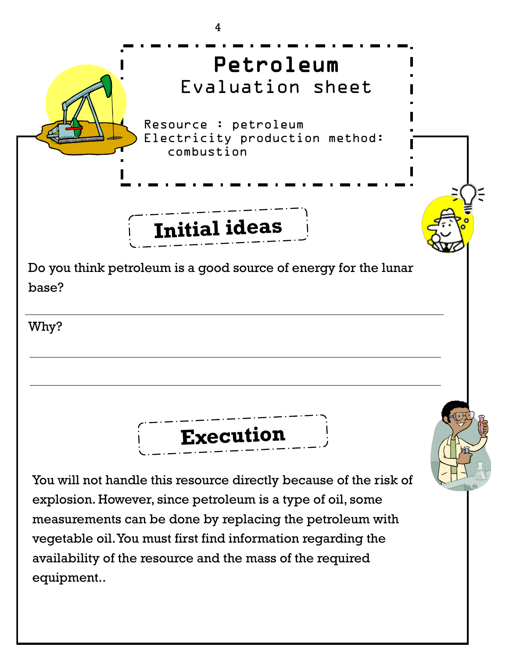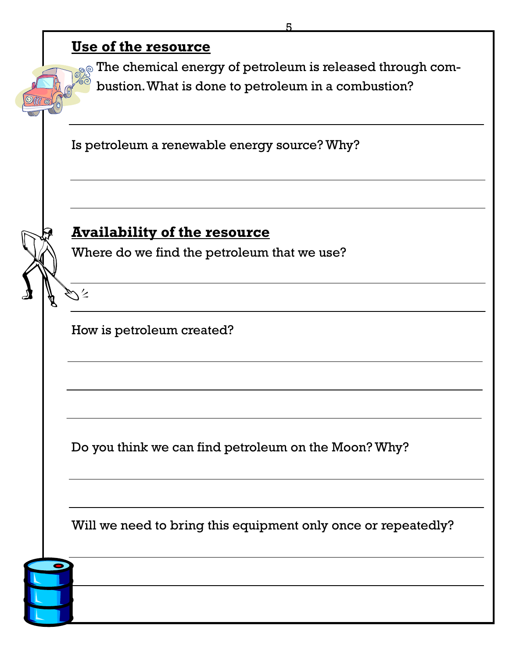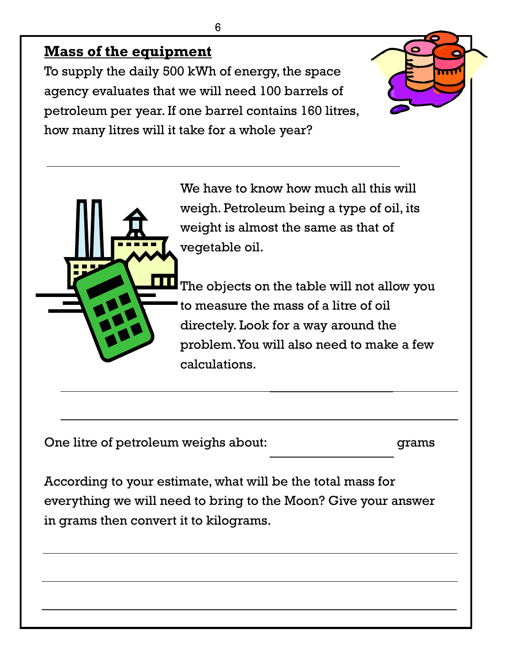# **Mass of the equipment**

To supply the daily 500 kWh of energy, the space agency evaluates that we will need 100 barrels of petroleum per year. If one barrel contains 160 litres, how many litres will it take for a whole year?

> We have to know how much all this will weigh. Petroleum being a type of oil, its weight is almost the same as that of vegetable oil.

The objects on the table will not allow you to measure the mass of a litre of oil directely. Look for a way around the problem. You will also need to make a few calculations.

|  | One litre of petroleum weighs about: | grams |
|--|--------------------------------------|-------|
|  |                                      |       |

According to your estimate, what will be the total mass for everything we will need to bring to the Moon? Give your answer in grams then convert it to kilograms.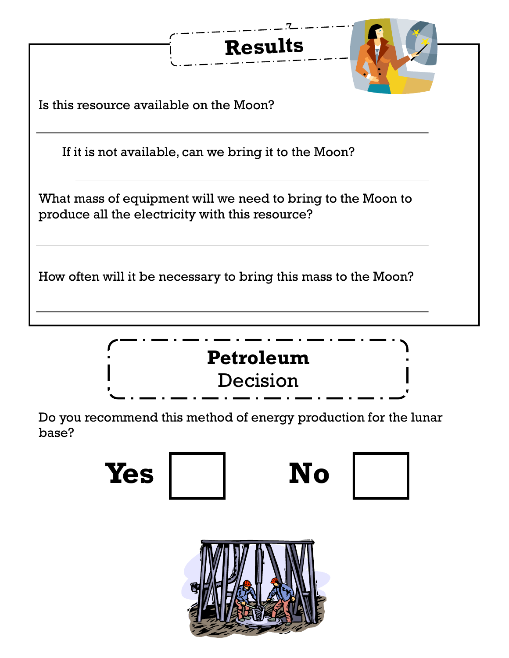





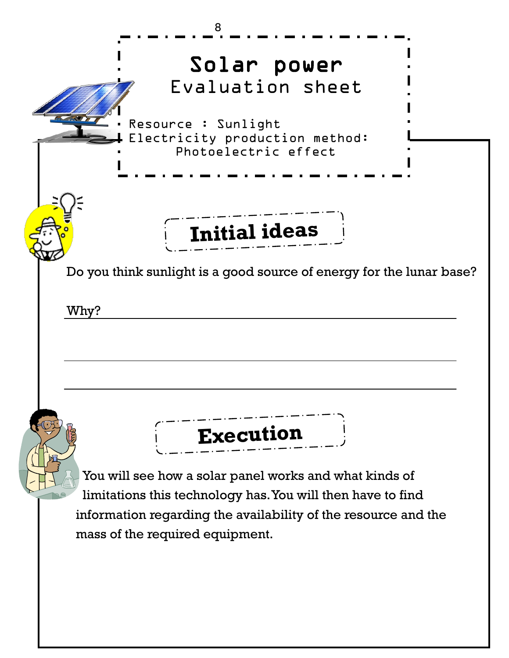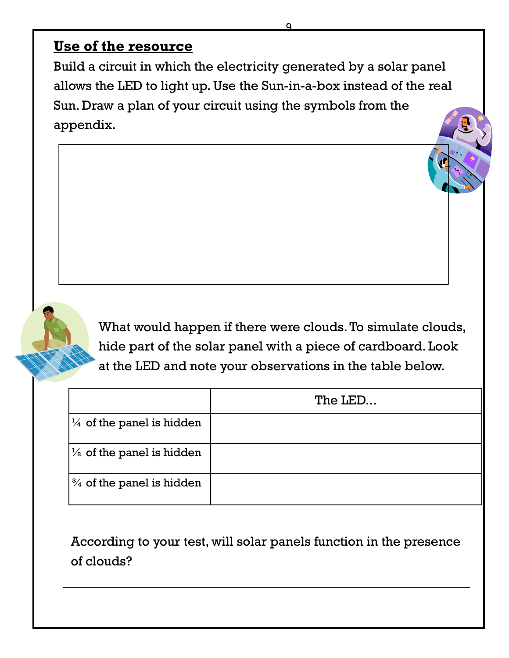### **Use of the resource**

Build a circuit in which the electricity generated by a solar panel allows the LED to light up. Use the Sun-in-a-box instead of the real Sun. Draw a plan of your circuit using the symbols from the appendix.

9

What would happen if there were clouds. To simulate clouds, hide part of the solar panel with a piece of cardboard. Look at the LED and note your observations in the table below.

|                                      | The LED |
|--------------------------------------|---------|
| $\frac{1}{4}$ of the panel is hidden |         |
| $\frac{1}{2}$ of the panel is hidden |         |
| $\frac{3}{4}$ of the panel is hidden |         |

According to your test, will solar panels function in the presence of clouds?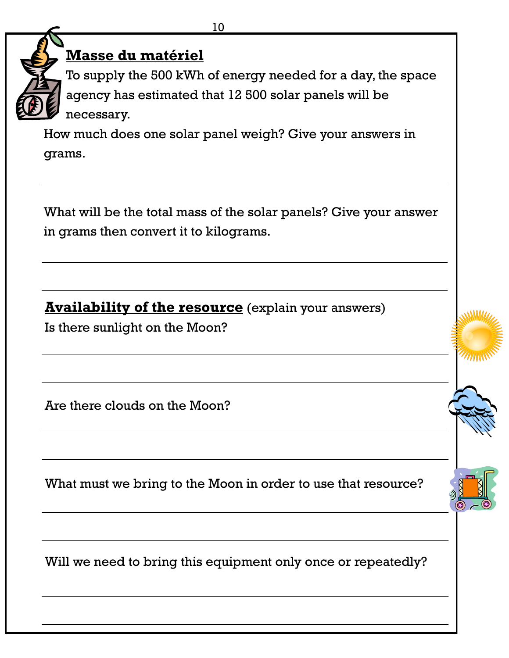



# **Masse du matériel**

To supply the 500 kWh of energy needed for a day, the space agency has estimated that 12 500 solar panels will be necessary.

How much does one solar panel weigh? Give your answers in grams.

What will be the total mass of the solar panels? Give your answer in grams then convert it to kilograms.

**Availability of the resource** (explain your answers)

Is there sunlight on the Moon?

Are there clouds on the Moon?

What must we bring to the Moon in order to use that resource?

Will we need to bring this equipment only once or repeatedly?



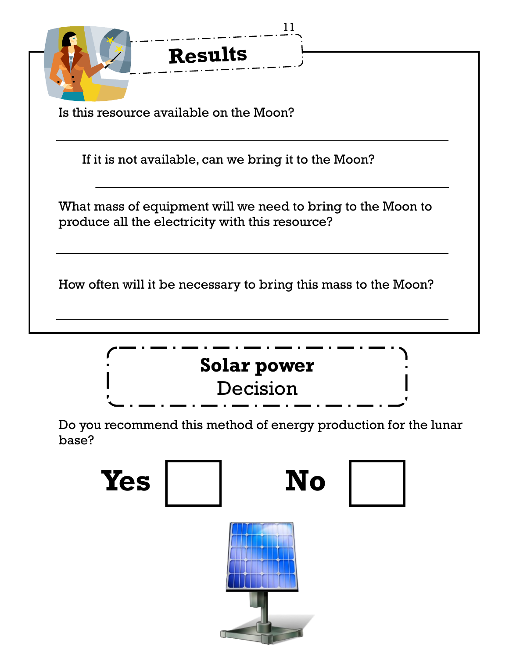| <b>Results</b>                                                                                                 |
|----------------------------------------------------------------------------------------------------------------|
| Is this resource available on the Moon?                                                                        |
| If it is not available, can we bring it to the Moon?                                                           |
| What mass of equipment will we need to bring to the Moon to<br>produce all the electricity with this resource? |
| How often will it be necessary to bring this mass to the Moon?                                                 |



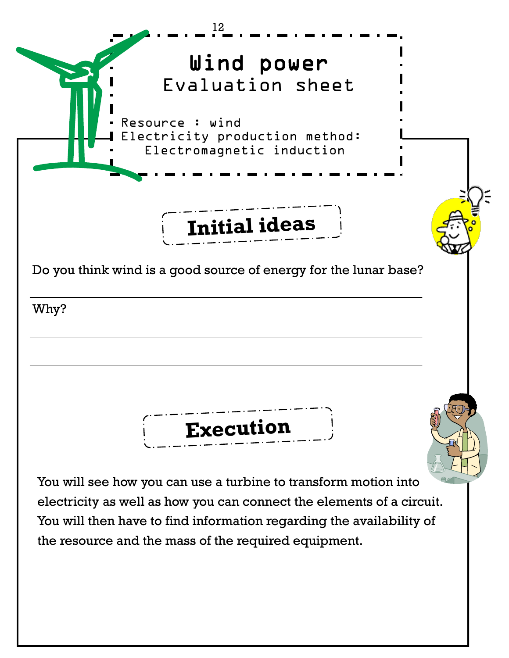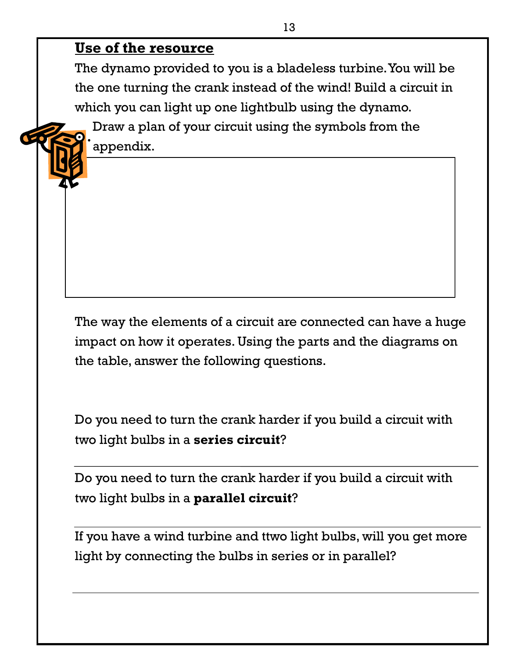# **Use of the resource**

The dynamo provided to you is a bladeless turbine. You will be the one turning the crank instead of the wind! Build a circuit in which you can light up one lightbulb using the dynamo.

Draw a plan of your circuit using the symbols from the appendix.

The way the elements of a circuit are connected can have a huge impact on how it operates. Using the parts and the diagrams on the table, answer the following questions.

Do you need to turn the crank harder if you build a circuit with two light bulbs in a **series circuit**?

Do you need to turn the crank harder if you build a circuit with two light bulbs in a **parallel circuit**?

If you have a wind turbine and ttwo light bulbs, will you get more light by connecting the bulbs in series or in parallel?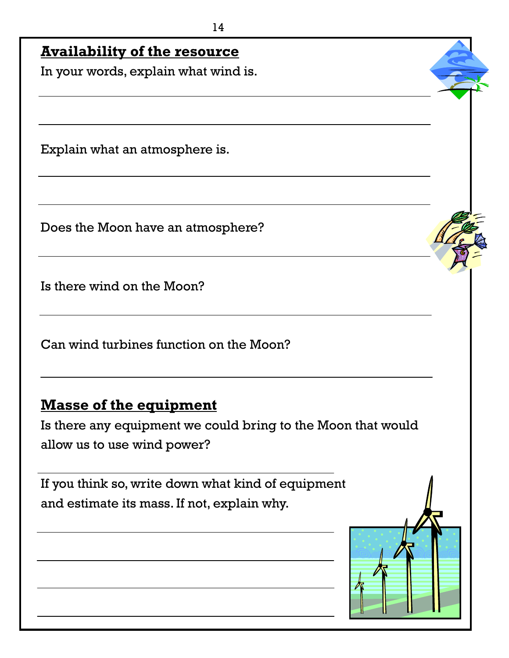# **Availability of the resource**

In your words, explain what wind is.

Explain what an atmosphere is.

Does the Moon have an atmosphere?

Is there wind on the Moon?

Can wind turbines function on the Moon?

# **Masse of the equipment**

Is there any equipment we could bring to the Moon that would allow us to use wind power?

If you think so, write down what kind of equipment and estimate its mass. If not, explain why.

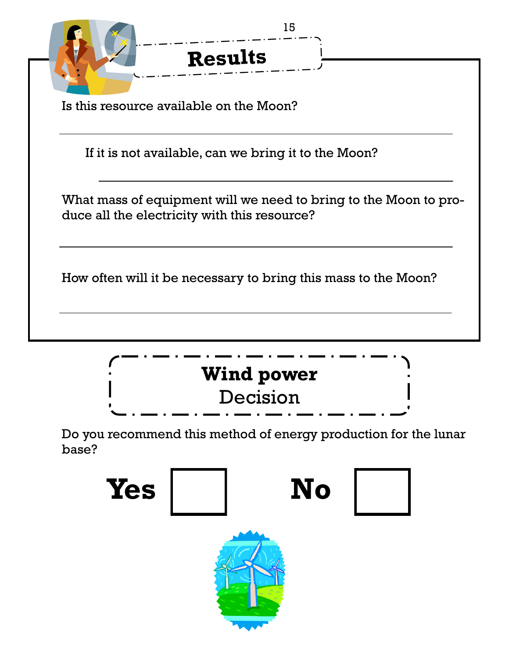| 15                                                                                                               |
|------------------------------------------------------------------------------------------------------------------|
| <b>Results</b>                                                                                                   |
| Is this resource available on the Moon?                                                                          |
| If it is not available, can we bring it to the Moon?                                                             |
| What mass of equipment will we need to bring to the Moon to pro-<br>duce all the electricity with this resource? |
| How often will it be necessary to bring this mass to the Moon?                                                   |



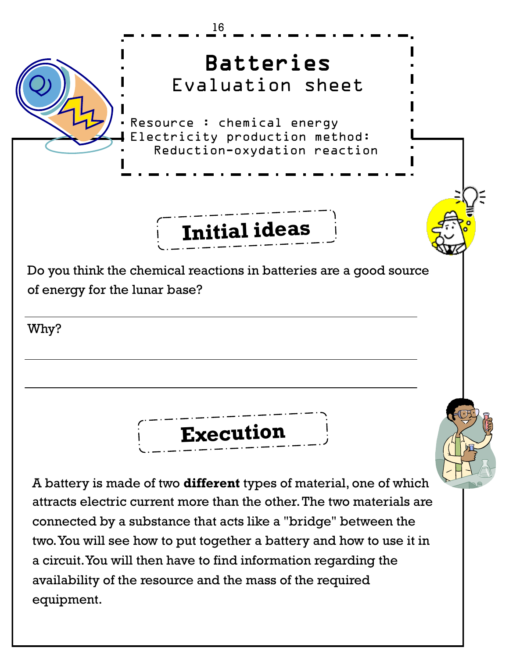

equipment.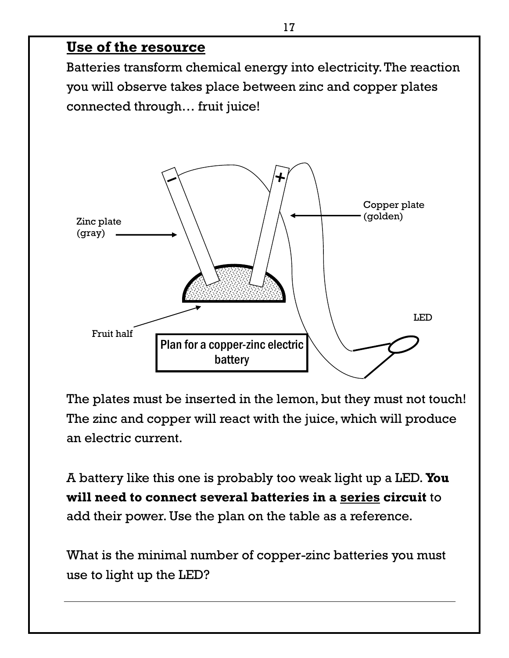#### **Use of the resource**

Batteries transform chemical energy into electricity. The reaction you will observe takes place between zinc and copper plates connected through… fruit juice!



The plates must be inserted in the lemon, but they must not touch! The zinc and copper will react with the juice, which will produce an electric current.

A battery like this one is probably too weak light up a LED. **You will need to connect several batteries in a series circuit** to add their power. Use the plan on the table as a reference.

What is the minimal number of copper-zinc batteries you must use to light up the LED?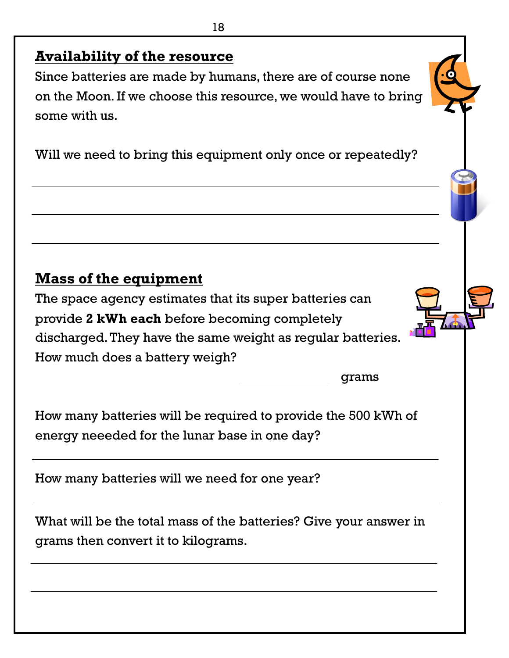# **Availability of the resource**

Since batteries are made by humans, there are of course none on the Moon. If we choose this resource, we would have to bring some with us.

Will we need to bring this equipment only once or repeatedly?

# **Mass of the equipment**

The space agency estimates that its super batteries can provide **2 kWh each** before becoming completely discharged. They have the same weight as regular batteries. How much does a battery weigh?

grams

How many batteries will be required to provide the 500 kWh of energy neeeded for the lunar base in one day?

How many batteries will we need for one year?

What will be the total mass of the batteries? Give your answer in grams then convert it to kilograms.

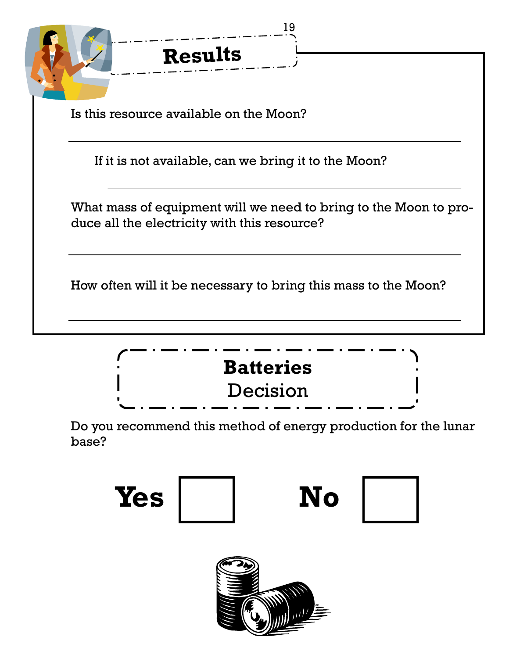| <b>Results</b>                                                                                                   |
|------------------------------------------------------------------------------------------------------------------|
| Is this resource available on the Moon?                                                                          |
| If it is not available, can we bring it to the Moon?                                                             |
| What mass of equipment will we need to bring to the Moon to pro-<br>duce all the electricity with this resource? |
| How often will it be necessary to bring this mass to the Moon?                                                   |





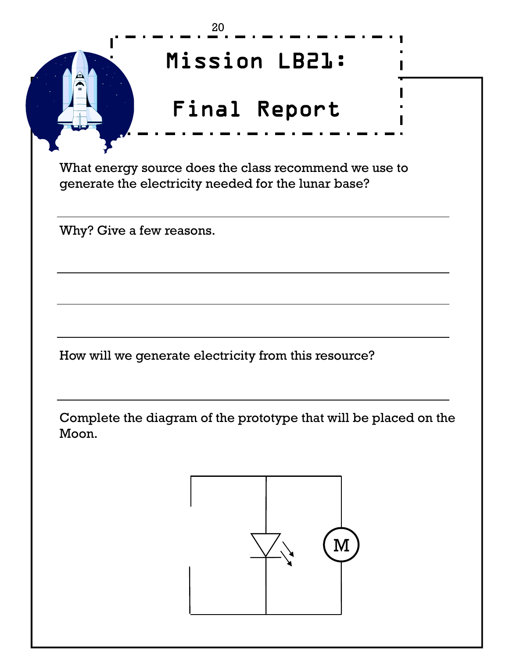